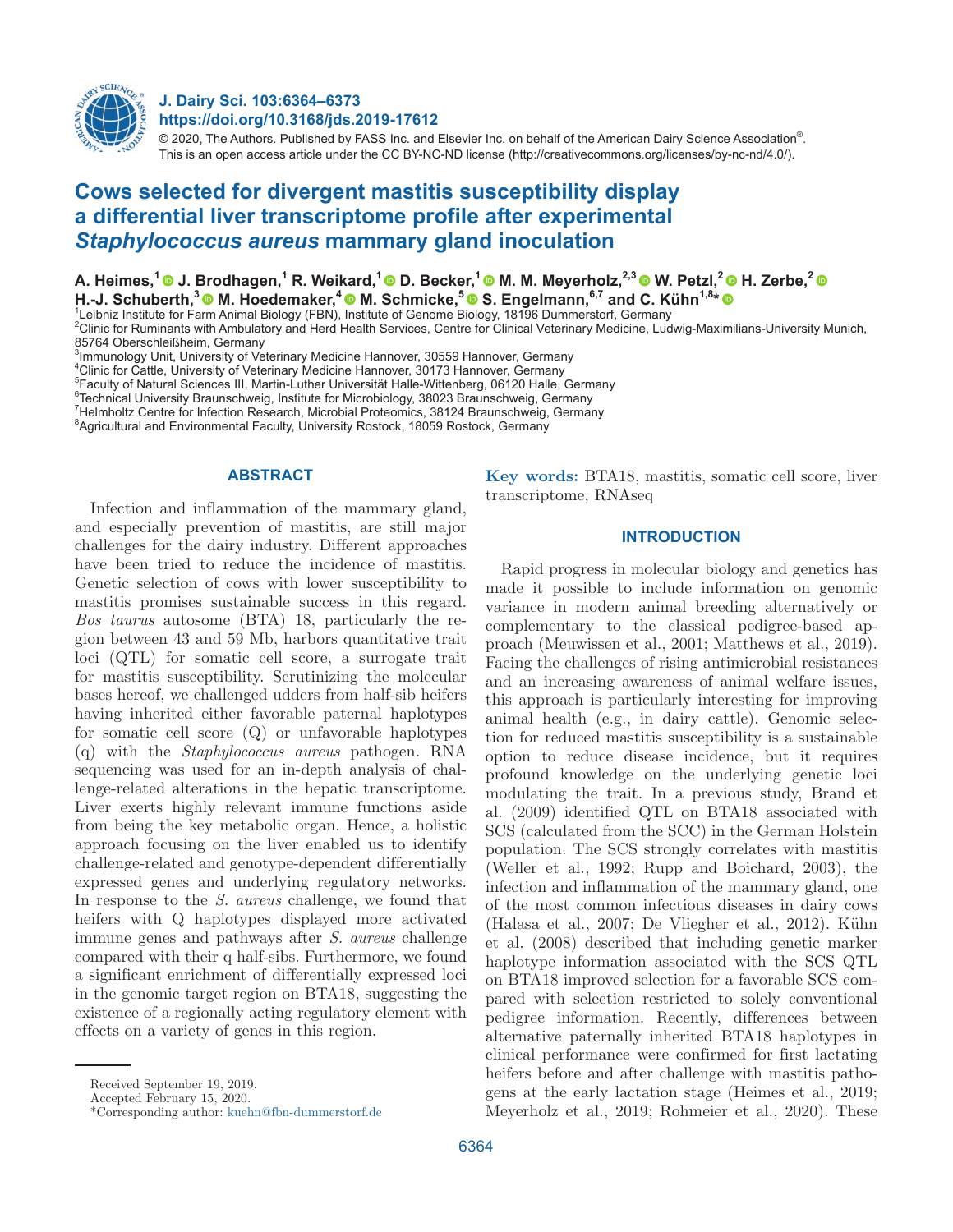

## **J. Dairy Sci. 103:6364–6373 https://doi.org/10.3168/jds.2019-17612**

© 2020, The Authors. Published by FASS Inc. and Elsevier Inc. on behalf of the American Dairy Science Association®. This is an open access article under the CC BY-NC-ND license (http://creativecommons.org/licenses/by-nc-nd/4.0/).

# **Cows selected for divergent mastitis susceptibility display a differential liver transcriptome profile after experimental**  *Staphylococcus aureus* **mammary gland inoculation**

**A. Heimes,1 J. Brodhagen,1 R. Weikard,1 D. Becker,1 M. M. Meyerholz,2,3 W. Petzl,2 H. Zerbe,2**  H.-J. Schuberth,<sup>3</sup> M. Hoedemaker,<sup>4</sup> M. Schmicke,<sup>5</sup> S. Engelmann,<sup>6,7</sup> and C. Kühn<sup>1,8\*</sup> <sup>®</sup>

Leibniz Institute for Farm Animal Biology (FBN), Institute of Genome Biology, 18196 Dummerstorf, Germany

2 Clinic for Ruminants with Ambulatory and Herd Health Services, Centre for Clinical Veterinary Medicine, Ludwig-Maximilians-University Munich, 85764 Oberschleißheim, Germany

 $^3$ Immunology Unit, University of Veterinary Medicine Hannover, 30559 Hannover, Germany

4 Clinic for Cattle, University of Veterinary Medicine Hannover, 30173 Hannover, Germany

5 Faculty of Natural Sciences III, Martin-Luther Universität Halle-Wittenberg, 06120 Halle, Germany

 $^6$ Technical University Braunschweig, Institute for Microbiology, 38023 Braunschweig, Germany

7 Helmholtz Centre for Infection Research, Microbial Proteomics, 38124 Braunschweig, Germany

<sup>8</sup>Agricultural and Environmental Faculty, University Rostock, 18059 Rostock, Germany

## **ABSTRACT**

Infection and inflammation of the mammary gland, and especially prevention of mastitis, are still major challenges for the dairy industry. Different approaches have been tried to reduce the incidence of mastitis. Genetic selection of cows with lower susceptibility to mastitis promises sustainable success in this regard. *Bos taurus* autosome (BTA) 18, particularly the region between 43 and 59 Mb, harbors quantitative trait loci (QTL) for somatic cell score, a surrogate trait for mastitis susceptibility. Scrutinizing the molecular bases hereof, we challenged udders from half-sib heifers having inherited either favorable paternal haplotypes for somatic cell score (Q) or unfavorable haplotypes (q) with the *Staphylococcus aureus* pathogen. RNA sequencing was used for an in-depth analysis of challenge-related alterations in the hepatic transcriptome. Liver exerts highly relevant immune functions aside from being the key metabolic organ. Hence, a holistic approach focusing on the liver enabled us to identify challenge-related and genotype-dependent differentially expressed genes and underlying regulatory networks. In response to the *S. aureus* challenge, we found that heifers with Q haplotypes displayed more activated immune genes and pathways after *S. aureus* challenge compared with their q half-sibs. Furthermore, we found a significant enrichment of differentially expressed loci in the genomic target region on BTA18, suggesting the existence of a regionally acting regulatory element with effects on a variety of genes in this region.

**Key words:** BTA18, mastitis, somatic cell score, liver transcriptome, RNAseq

## **INTRODUCTION**

Rapid progress in molecular biology and genetics has made it possible to include information on genomic variance in modern animal breeding alternatively or complementary to the classical pedigree-based approach (Meuwissen et al., 2001; Matthews et al., 2019). Facing the challenges of rising antimicrobial resistances and an increasing awareness of animal welfare issues, this approach is particularly interesting for improving animal health (e.g., in dairy cattle). Genomic selection for reduced mastitis susceptibility is a sustainable option to reduce disease incidence, but it requires profound knowledge on the underlying genetic loci modulating the trait. In a previous study, Brand et al. (2009) identified QTL on BTA18 associated with SCS (calculated from the SCC) in the German Holstein population. The SCS strongly correlates with mastitis (Weller et al., 1992; Rupp and Boichard, 2003), the infection and inflammation of the mammary gland, one of the most common infectious diseases in dairy cows (Halasa et al., 2007; De Vliegher et al., 2012). Kühn et al. (2008) described that including genetic marker haplotype information associated with the SCS QTL on BTA18 improved selection for a favorable SCS compared with selection restricted to solely conventional pedigree information. Recently, differences between alternative paternally inherited BTA18 haplotypes in clinical performance were confirmed for first lactating heifers before and after challenge with mastitis pathogens at the early lactation stage (Heimes et al., 2019; Meyerholz et al., 2019; Rohmeier et al., 2020). These

Received September 19, 2019.

Accepted February 15, 2020.

<sup>\*</sup>Corresponding author: [kuehn@fbn-dummerstorf.de](mailto:kuehn@fbn-dummerstorf.de)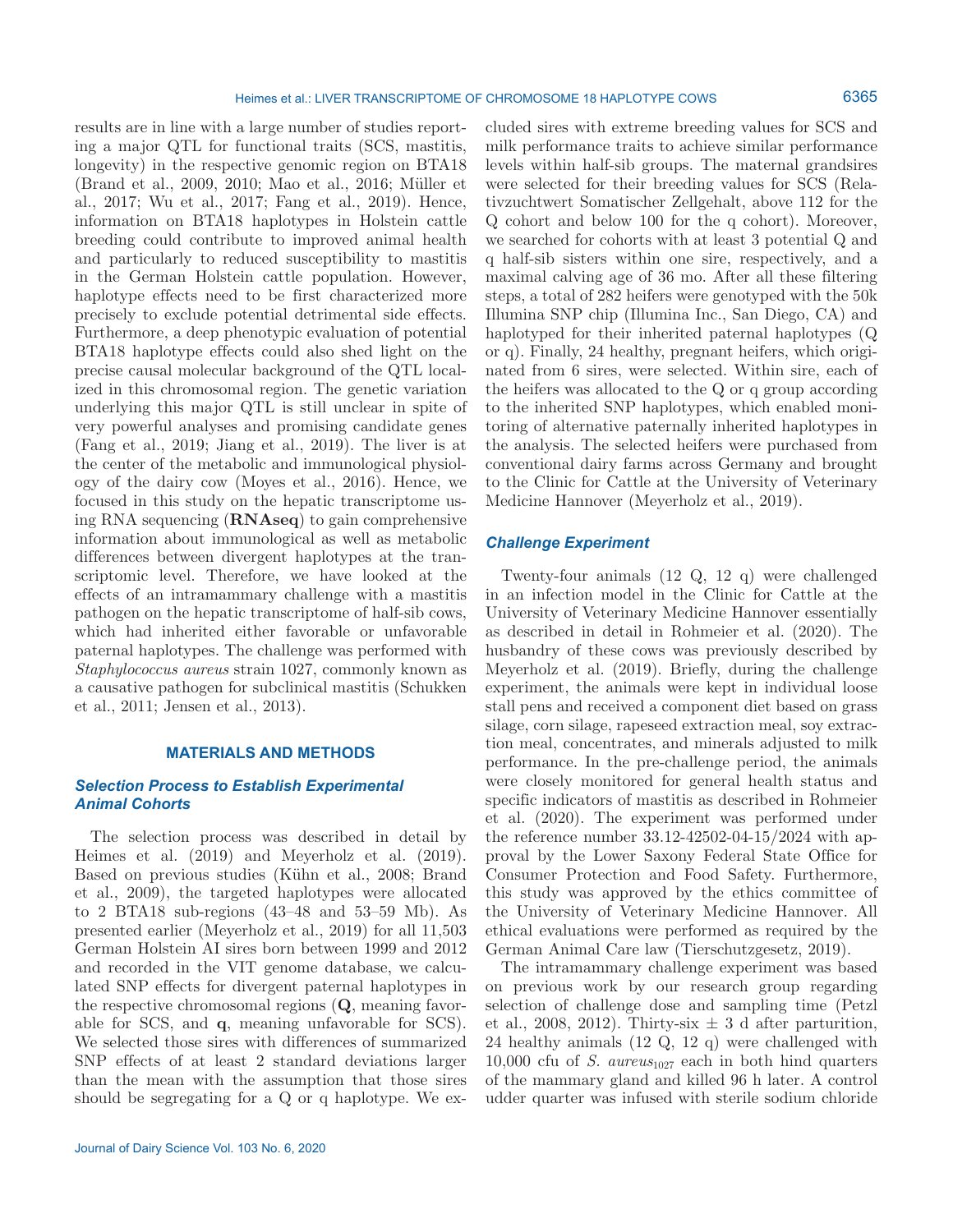results are in line with a large number of studies reporting a major QTL for functional traits (SCS, mastitis, longevity) in the respective genomic region on BTA18 (Brand et al., 2009, 2010; Mao et al., 2016; Müller et al., 2017; Wu et al., 2017; Fang et al., 2019). Hence, information on BTA18 haplotypes in Holstein cattle breeding could contribute to improved animal health and particularly to reduced susceptibility to mastitis in the German Holstein cattle population. However, haplotype effects need to be first characterized more precisely to exclude potential detrimental side effects. Furthermore, a deep phenotypic evaluation of potential BTA18 haplotype effects could also shed light on the precise causal molecular background of the QTL localized in this chromosomal region. The genetic variation underlying this major QTL is still unclear in spite of very powerful analyses and promising candidate genes (Fang et al., 2019; Jiang et al., 2019). The liver is at the center of the metabolic and immunological physiology of the dairy cow (Moyes et al., 2016). Hence, we focused in this study on the hepatic transcriptome using RNA sequencing (**RNAseq**) to gain comprehensive information about immunological as well as metabolic differences between divergent haplotypes at the transcriptomic level. Therefore, we have looked at the effects of an intramammary challenge with a mastitis pathogen on the hepatic transcriptome of half-sib cows, which had inherited either favorable or unfavorable paternal haplotypes. The challenge was performed with *Staphylococcus aureus* strain 1027, commonly known as a causative pathogen for subclinical mastitis (Schukken et al., 2011; Jensen et al., 2013).

#### **MATERIALS AND METHODS**

## *Selection Process to Establish Experimental Animal Cohorts*

The selection process was described in detail by Heimes et al. (2019) and Meyerholz et al. (2019). Based on previous studies (Kühn et al., 2008; Brand et al., 2009), the targeted haplotypes were allocated to 2 BTA18 sub-regions (43–48 and 53–59 Mb). As presented earlier (Meyerholz et al., 2019) for all 11,503 German Holstein AI sires born between 1999 and 2012 and recorded in the VIT genome database, we calculated SNP effects for divergent paternal haplotypes in the respective chromosomal regions (**Q**, meaning favorable for SCS, and **q**, meaning unfavorable for SCS). We selected those sires with differences of summarized SNP effects of at least 2 standard deviations larger than the mean with the assumption that those sires should be segregating for a Q or q haplotype. We ex-

cluded sires with extreme breeding values for SCS and milk performance traits to achieve similar performance levels within half-sib groups. The maternal grandsires were selected for their breeding values for SCS (Relativzuchtwert Somatischer Zellgehalt, above 112 for the Q cohort and below 100 for the q cohort). Moreover, we searched for cohorts with at least 3 potential Q and q half-sib sisters within one sire, respectively, and a maximal calving age of 36 mo. After all these filtering steps, a total of 282 heifers were genotyped with the 50k Illumina SNP chip (Illumina Inc., San Diego, CA) and haplotyped for their inherited paternal haplotypes (Q or q). Finally, 24 healthy, pregnant heifers, which originated from 6 sires, were selected. Within sire, each of the heifers was allocated to the Q or q group according to the inherited SNP haplotypes, which enabled monitoring of alternative paternally inherited haplotypes in the analysis. The selected heifers were purchased from conventional dairy farms across Germany and brought to the Clinic for Cattle at the University of Veterinary Medicine Hannover (Meyerholz et al., 2019).

## *Challenge Experiment*

Twenty-four animals (12 Q, 12 q) were challenged in an infection model in the Clinic for Cattle at the University of Veterinary Medicine Hannover essentially as described in detail in Rohmeier et al. (2020). The husbandry of these cows was previously described by Meyerholz et al. (2019). Briefly, during the challenge experiment, the animals were kept in individual loose stall pens and received a component diet based on grass silage, corn silage, rapeseed extraction meal, soy extraction meal, concentrates, and minerals adjusted to milk performance. In the pre-challenge period, the animals were closely monitored for general health status and specific indicators of mastitis as described in Rohmeier et al. (2020). The experiment was performed under the reference number 33.12-42502-04-15/2024 with approval by the Lower Saxony Federal State Office for Consumer Protection and Food Safety. Furthermore, this study was approved by the ethics committee of the University of Veterinary Medicine Hannover. All ethical evaluations were performed as required by the German Animal Care law (Tierschutzgesetz, 2019).

The intramammary challenge experiment was based on previous work by our research group regarding selection of challenge dose and sampling time (Petzl et al., 2008, 2012). Thirty-six  $\pm$  3 d after parturition, 24 healthy animals (12 Q, 12 q) were challenged with 10,000 cfu of *S. aureus*<sub>1027</sub> each in both hind quarters of the mammary gland and killed 96 h later. A control udder quarter was infused with sterile sodium chloride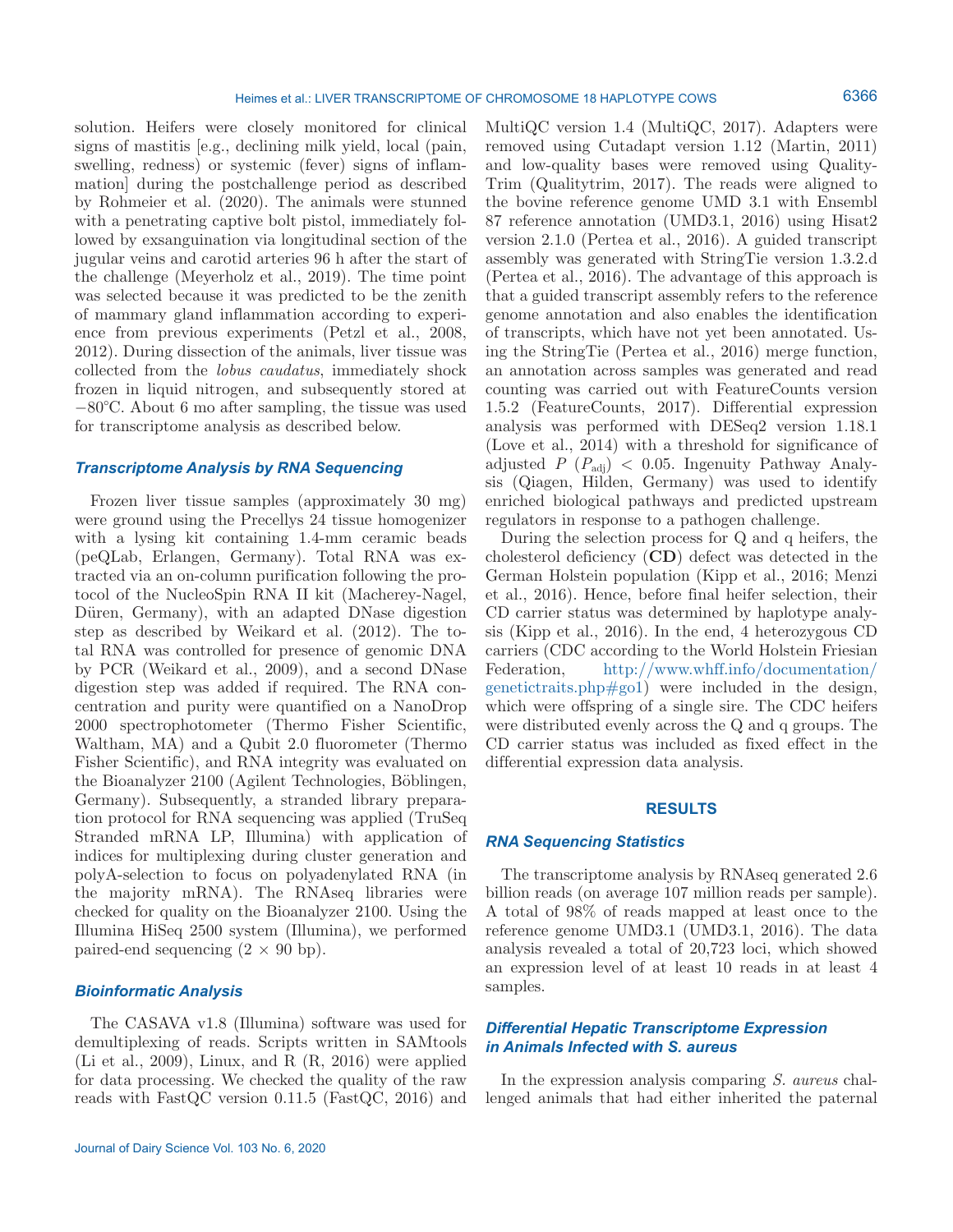solution. Heifers were closely monitored for clinical signs of mastitis [e.g., declining milk yield, local (pain, swelling, redness) or systemic (fever) signs of inflammation] during the postchallenge period as described by Rohmeier et al. (2020). The animals were stunned with a penetrating captive bolt pistol, immediately followed by exsanguination via longitudinal section of the jugular veins and carotid arteries 96 h after the start of the challenge (Meyerholz et al., 2019). The time point was selected because it was predicted to be the zenith of mammary gland inflammation according to experience from previous experiments (Petzl et al., 2008, 2012). During dissection of the animals, liver tissue was collected from the *lobus caudatus*, immediately shock frozen in liquid nitrogen, and subsequently stored at −80°C. About 6 mo after sampling, the tissue was used for transcriptome analysis as described below.

#### *Transcriptome Analysis by RNA Sequencing*

Frozen liver tissue samples (approximately 30 mg) were ground using the Precellys 24 tissue homogenizer with a lysing kit containing 1.4-mm ceramic beads (peQLab, Erlangen, Germany). Total RNA was extracted via an on-column purification following the protocol of the NucleoSpin RNA II kit (Macherey-Nagel, Düren, Germany), with an adapted DNase digestion step as described by Weikard et al. (2012). The total RNA was controlled for presence of genomic DNA by PCR (Weikard et al., 2009), and a second DNase digestion step was added if required. The RNA concentration and purity were quantified on a NanoDrop 2000 spectrophotometer (Thermo Fisher Scientific, Waltham, MA) and a Qubit 2.0 fluorometer (Thermo Fisher Scientific), and RNA integrity was evaluated on the Bioanalyzer 2100 (Agilent Technologies, Böblingen, Germany). Subsequently, a stranded library preparation protocol for RNA sequencing was applied (TruSeq Stranded mRNA LP, Illumina) with application of indices for multiplexing during cluster generation and polyA-selection to focus on polyadenylated RNA (in the majority mRNA). The RNAseq libraries were checked for quality on the Bioanalyzer 2100. Using the Illumina HiSeq 2500 system (Illumina), we performed paired-end sequencing  $(2 \times 90$  bp).

## *Bioinformatic Analysis*

The CASAVA v1.8 (Illumina) software was used for demultiplexing of reads. Scripts written in SAMtools (Li et al., 2009), Linux, and R (R, 2016) were applied for data processing. We checked the quality of the raw reads with FastQC version 0.11.5 (FastQC, 2016) and MultiQC version 1.4 (MultiQC, 2017). Adapters were removed using Cutadapt version 1.12 (Martin, 2011) and low-quality bases were removed using Quality-Trim (Qualitytrim, 2017). The reads were aligned to the bovine reference genome UMD 3.1 with Ensembl 87 reference annotation (UMD3.1, 2016) using Hisat2 version 2.1.0 (Pertea et al., 2016). A guided transcript assembly was generated with StringTie version 1.3.2.d (Pertea et al., 2016). The advantage of this approach is that a guided transcript assembly refers to the reference genome annotation and also enables the identification of transcripts, which have not yet been annotated. Using the StringTie (Pertea et al., 2016) merge function, an annotation across samples was generated and read counting was carried out with FeatureCounts version 1.5.2 (FeatureCounts, 2017). Differential expression analysis was performed with DESeq2 version 1.18.1 (Love et al., 2014) with a threshold for significance of adjusted  $P(P_{\text{adj}}) < 0.05$ . Ingenuity Pathway Analysis (Qiagen, Hilden, Germany) was used to identify enriched biological pathways and predicted upstream regulators in response to a pathogen challenge.

During the selection process for Q and q heifers, the cholesterol deficiency (**CD**) defect was detected in the German Holstein population (Kipp et al., 2016; Menzi et al., 2016). Hence, before final heifer selection, their CD carrier status was determined by haplotype analysis (Kipp et al., 2016). In the end, 4 heterozygous CD carriers (CDC according to the World Holstein Friesian Federation, [http://www.whff.info/documentation/](http://www.whff.info/documentation/genetictraits.php#go1) [genetictraits.php#go1\)](http://www.whff.info/documentation/genetictraits.php#go1) were included in the design, which were offspring of a single sire. The CDC heifers were distributed evenly across the Q and q groups. The CD carrier status was included as fixed effect in the differential expression data analysis.

#### **RESULTS**

#### *RNA Sequencing Statistics*

The transcriptome analysis by RNAseq generated 2.6 billion reads (on average 107 million reads per sample). A total of 98% of reads mapped at least once to the reference genome UMD3.1 (UMD3.1, 2016). The data analysis revealed a total of 20,723 loci, which showed an expression level of at least 10 reads in at least 4 samples.

## *Differential Hepatic Transcriptome Expression in Animals Infected with S. aureus*

In the expression analysis comparing *S. aureus* challenged animals that had either inherited the paternal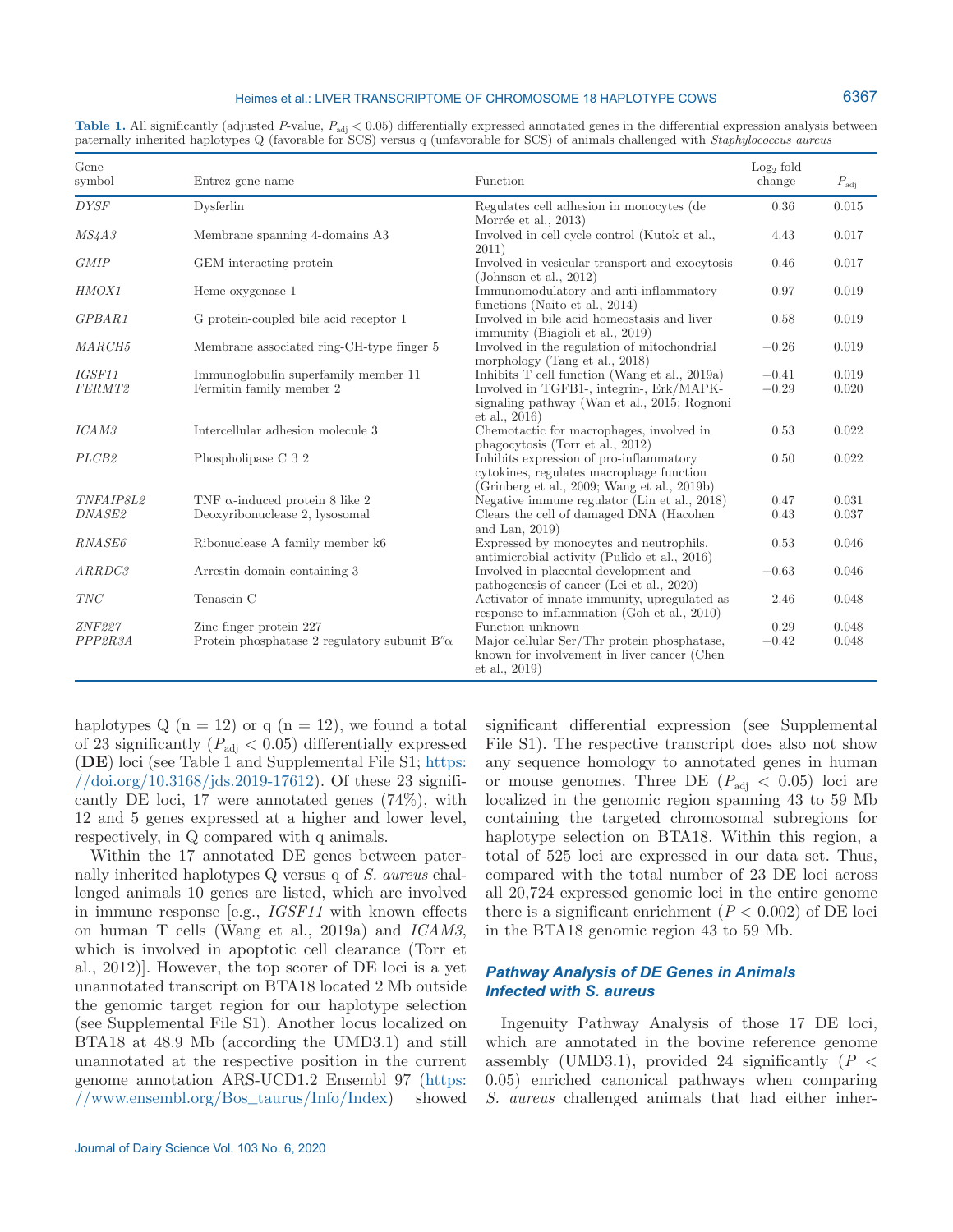#### Heimes et al.: LIVER TRANSCRIPTOME OF CHROMOSOME 18 HAPLOTYPE COWS

| Gene<br>symbol     | Entrez gene name                                                 | Function                                                                                                                                                   | $Log2$ fold<br>change | $P_{\rm adj}$  |
|--------------------|------------------------------------------------------------------|------------------------------------------------------------------------------------------------------------------------------------------------------------|-----------------------|----------------|
| <b>DYSF</b>        | Dysferlin                                                        | Regulates cell adhesion in monocytes (de                                                                                                                   | 0.36                  | 0.015          |
| MS4A3              | Membrane spanning 4-domains A3                                   | Morrée et al., 2013)<br>Involved in cell cycle control (Kutok et al.,<br>2011)                                                                             | 4.43                  | 0.017          |
| <b>GMIP</b>        | GEM interacting protein                                          | Involved in vesicular transport and exocytosis<br>(Johnson et al., $2012$ )                                                                                | 0.46                  | 0.017          |
| HMOX1              | Heme oxygenase 1                                                 | Immunomodulatory and anti-inflammatory<br>functions (Naito et al., 2014)                                                                                   | 0.97                  | 0.019          |
| GPBAR1             | G protein-coupled bile acid receptor 1                           | Involved in bile acid homeostasis and liver<br>immunity (Biagioli et al., 2019)                                                                            | 0.58                  | 0.019          |
| MARCH <sub>5</sub> | Membrane associated ring-CH-type finger 5                        | Involved in the regulation of mitochondrial<br>morphology (Tang et al., 2018)                                                                              | $-0.26$               | 0.019          |
| IGSF11<br>FERMT2   | Immunoglobulin superfamily member 11<br>Fermitin family member 2 | Inhibits T cell function (Wang et al., 2019a)<br>Involved in TGFB1-, integrin-, Erk/MAPK-<br>signaling pathway (Wan et al., 2015; Rognoni<br>et al., 2016) | $-0.41$<br>$-0.29$    | 0.019<br>0.020 |
| ICAM3              | Intercellular adhesion molecule 3                                | Chemotactic for macrophages, involved in<br>phagocytosis (Torr et al., 2012)                                                                               | 0.53                  | 0.022          |
| PLCB <sub>2</sub>  | Phospholipase C $\beta$ 2                                        | Inhibits expression of pro-inflammatory<br>cytokines, regulates macrophage function<br>(Grinberg et al., 2009; Wang et al., 2019b)                         | 0.50                  | 0.022          |
| TNFAIP8L2          | TNF $\alpha$ -induced protein 8 like 2                           | Negative immune regulator (Lin et al., 2018)                                                                                                               | 0.47                  | 0.031          |
| DNASE2             | Deoxyribonuclease 2, lysosomal                                   | Clears the cell of damaged DNA (Hacohen<br>and Lan, 2019)                                                                                                  | 0.43                  | 0.037          |
| RNASE6             | Ribonuclease A family member k6                                  | Expressed by monocytes and neutrophils,<br>antimicrobial activity (Pulido et al., 2016)                                                                    | 0.53                  | 0.046          |
| ARRDC3             | Arrestin domain containing 3                                     | Involved in placental development and<br>pathogenesis of cancer (Lei et al., 2020)                                                                         | $-0.63$               | 0.046          |
| <b>TNC</b>         | Tenascin C                                                       | Activator of innate immunity, upregulated as<br>response to inflammation (Goh et al., $2010$ )                                                             | 2.46                  | 0.048          |
| ZNF227             | Zinc finger protein 227                                          | Function unknown                                                                                                                                           | 0.29                  | 0.048          |
| PPP2R3A            | Protein phosphatase 2 regulatory subunit $B''\alpha$             | Major cellular Ser/Thr protein phosphatase,<br>known for involvement in liver cancer (Chen<br>et al., 2019)                                                | $-0.42$               | 0.048          |

Table 1. All significantly (adjusted *P*-value,  $P_{\text{adj}}$  < 0.05) differentially expressed annotated genes in the differential expression analysis between paternally inherited haplotypes Q (favorable for SCS) versus q (unfavorable for SCS) of animals challenged with *Staphylococcus aureus*

haplotypes  $Q(n = 12)$  or  $q(n = 12)$ , we found a total of 23 significantly  $(P_{\text{adj}} < 0.05)$  differentially expressed (**DE**) loci (see Table 1 and Supplemental File S1; [https:](https://doi.org/10.3168/jds.2019-17612)  $// \text{doi.org}/10.3168/jds.2019-17612)$ . Of these 23 significantly DE loci, 17 were annotated genes (74%), with 12 and 5 genes expressed at a higher and lower level, respectively, in Q compared with q animals.

Within the 17 annotated DE genes between paternally inherited haplotypes Q versus q of *S. aureus* challenged animals 10 genes are listed, which are involved in immune response [e.g., *IGSF11* with known effects on human T cells (Wang et al., 2019a) and *ICAM3*, which is involved in apoptotic cell clearance (Torr et al., 2012)]. However, the top scorer of DE loci is a yet unannotated transcript on BTA18 located 2 Mb outside the genomic target region for our haplotype selection (see Supplemental File S1). Another locus localized on BTA18 at 48.9 Mb (according the UMD3.1) and still unannotated at the respective position in the current genome annotation ARS-UCD1.2 Ensembl 97 [\(https:](https://www.ensembl.org/Bos_taurus/Info/Index) [//www.ensembl.org/Bos\\_taurus/Info/Index\)](https://www.ensembl.org/Bos_taurus/Info/Index) showed

significant differential expression (see Supplemental File S1). The respective transcript does also not show any sequence homology to annotated genes in human or mouse genomes. Three DE  $(P_{\text{adj}} < 0.05)$  loci are localized in the genomic region spanning 43 to 59 Mb containing the targeted chromosomal subregions for haplotype selection on BTA18. Within this region, a total of 525 loci are expressed in our data set. Thus, compared with the total number of 23 DE loci across all 20,724 expressed genomic loci in the entire genome there is a significant enrichment  $(P < 0.002)$  of DE loci in the BTA18 genomic region 43 to 59 Mb.

## *Pathway Analysis of DE Genes in Animals Infected with S. aureus*

Ingenuity Pathway Analysis of those 17 DE loci, which are annotated in the bovine reference genome assembly (UMD3.1), provided 24 significantly (*P* < 0.05) enriched canonical pathways when comparing *S. aureus* challenged animals that had either inher-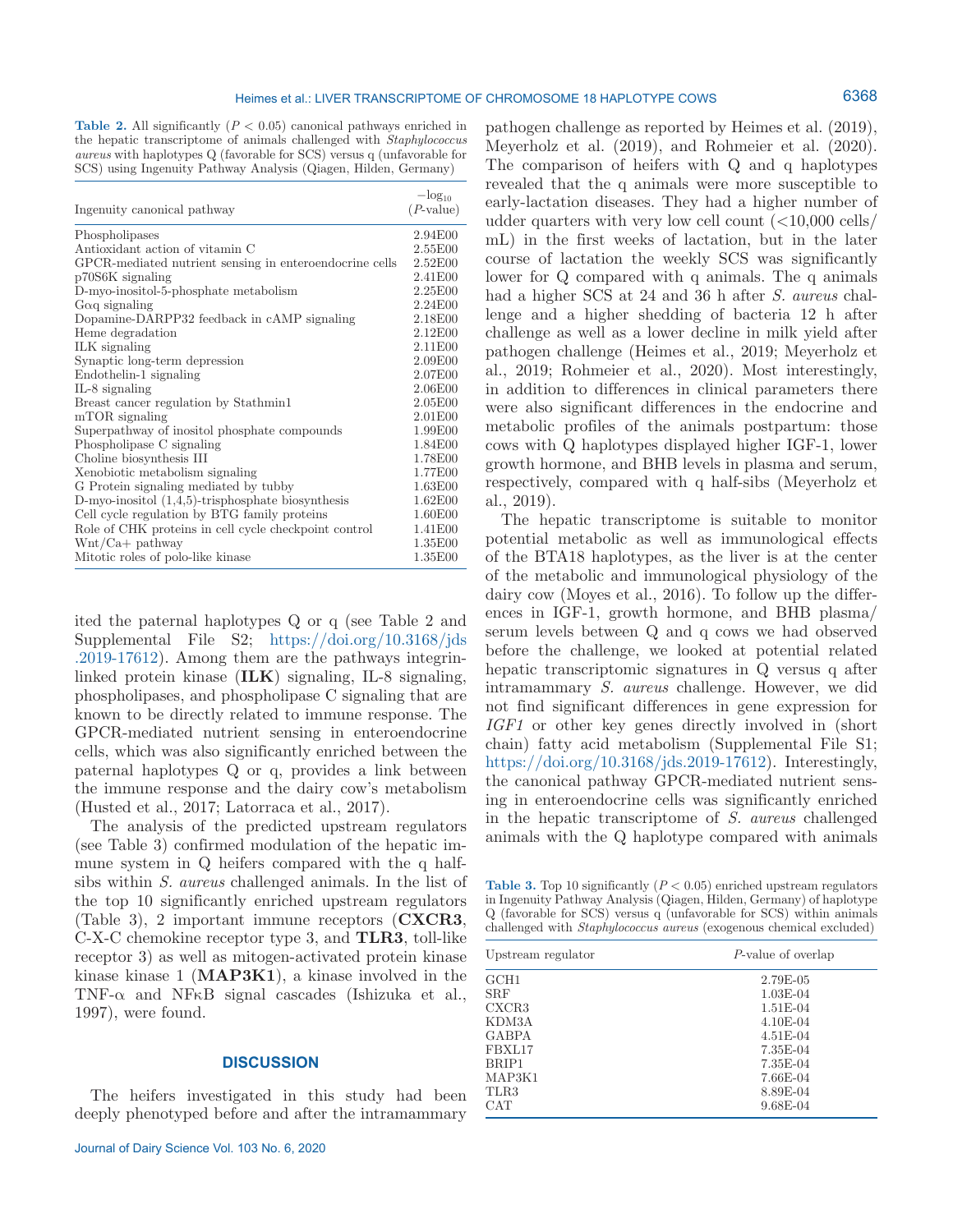6368

**Table 2.** All significantly  $(P < 0.05)$  canonical pathways enriched in the hepatic transcriptome of animals challenged with *Staphylococcus aureus* with haplotypes Q (favorable for SCS) versus q (unfavorable for SCS) using Ingenuity Pathway Analysis (Qiagen, Hilden, Germany)

| Ingenuity canonical pathway                             | $-\log_{10}$<br>$(P\text{-value})$ |
|---------------------------------------------------------|------------------------------------|
| Phospholipases                                          | 2.94E00                            |
| Antioxidant action of vitamin C                         | 2.55E00                            |
| GPCR-mediated nutrient sensing in enteroendocrine cells | 2.52E00                            |
| p70S6K signaling                                        | 2.41E00                            |
| D-myo-inositol-5-phosphate metabolism                   | 2.25E00                            |
| $G\alpha q$ signaling                                   | 2.24E00                            |
| Dopamine-DARPP32 feedback in cAMP signaling             | 2.18E00                            |
| Heme degradation                                        | 2.12E00                            |
| ILK signaling                                           | 2.11E00                            |
| Synaptic long-term depression                           | 2.09E00                            |
| Endothelin-1 signaling                                  | 2.07E00                            |
| $IL-8$ signaling                                        | 2.06E00                            |
| Breast cancer regulation by Stathmin1                   | 2.05E00                            |
| mTOR signaling                                          | 2.01E00                            |
| Superpathway of inositol phosphate compounds            | 1.99E00                            |
| Phospholipase C signaling                               | 1.84E00                            |
| Choline biosynthesis III                                | 1.78E00                            |
| Xenobiotic metabolism signaling                         | 1.77E00                            |
| G Protein signaling mediated by tubby                   | 1.63E00                            |
| D-myo-inositol $(1,4,5)$ -trisphosphate biosynthesis    | 1.62E00                            |
| Cell cycle regulation by BTG family proteins            | 1.60E00                            |
| Role of CHK proteins in cell cycle checkpoint control   | 1.41E00                            |
| $Wnt/Ca+$ pathway                                       | 1.35E00                            |
| Mitotic roles of polo-like kinase                       | 1.35E00                            |

ited the paternal haplotypes Q or q (see Table 2 and Supplemental File S2; [https://doi.org/10.3168/jds](https://doi.org/10.3168/jds.2019-17612) [.2019-17612\)](https://doi.org/10.3168/jds.2019-17612). Among them are the pathways integrinlinked protein kinase (**ILK**) signaling, IL-8 signaling, phospholipases, and phospholipase C signaling that are known to be directly related to immune response. The GPCR-mediated nutrient sensing in enteroendocrine cells, which was also significantly enriched between the paternal haplotypes Q or q, provides a link between the immune response and the dairy cow's metabolism (Husted et al., 2017; Latorraca et al., 2017).

The analysis of the predicted upstream regulators (see Table 3) confirmed modulation of the hepatic immune system in Q heifers compared with the q halfsibs within *S. aureus* challenged animals. In the list of the top 10 significantly enriched upstream regulators (Table 3), 2 important immune receptors (**CXCR3**, C-X-C chemokine receptor type 3, and **TLR3**, toll-like receptor 3) as well as mitogen-activated protein kinase kinase kinase 1 (**MAP3K1**), a kinase involved in the TNF- $\alpha$  and NFKB signal cascades (Ishizuka et al., 1997), were found.

## **DISCUSSION**

The heifers investigated in this study had been deeply phenotyped before and after the intramammary

pathogen challenge as reported by Heimes et al. (2019), Meyerholz et al. (2019), and Rohmeier et al. (2020). The comparison of heifers with Q and q haplotypes revealed that the q animals were more susceptible to early-lactation diseases. They had a higher number of udder quarters with very low cell count  $\langle$  <10,000 cells/ mL) in the first weeks of lactation, but in the later course of lactation the weekly SCS was significantly lower for Q compared with q animals. The q animals had a higher SCS at 24 and 36 h after *S. aureus* challenge and a higher shedding of bacteria 12 h after challenge as well as a lower decline in milk yield after pathogen challenge (Heimes et al., 2019; Meyerholz et al., 2019; Rohmeier et al., 2020). Most interestingly, in addition to differences in clinical parameters there were also significant differences in the endocrine and metabolic profiles of the animals postpartum: those cows with Q haplotypes displayed higher IGF-1, lower growth hormone, and BHB levels in plasma and serum, respectively, compared with q half-sibs (Meyerholz et al., 2019).

The hepatic transcriptome is suitable to monitor potential metabolic as well as immunological effects of the BTA18 haplotypes, as the liver is at the center of the metabolic and immunological physiology of the dairy cow (Moyes et al., 2016). To follow up the differences in IGF-1, growth hormone, and BHB plasma/ serum levels between Q and q cows we had observed before the challenge, we looked at potential related hepatic transcriptomic signatures in Q versus q after intramammary *S. aureus* challenge. However, we did not find significant differences in gene expression for *IGF1* or other key genes directly involved in (short chain) fatty acid metabolism (Supplemental File S1; <https://doi.org/10.3168/jds.2019-17612>). Interestingly, the canonical pathway GPCR-mediated nutrient sensing in enteroendocrine cells was significantly enriched in the hepatic transcriptome of *S. aureus* challenged animals with the Q haplotype compared with animals

**Table 3.** Top 10 significantly  $(P < 0.05)$  enriched upstream regulators in Ingenuity Pathway Analysis (Qiagen, Hilden, Germany) of haplotype Q (favorable for SCS) versus q (unfavorable for SCS) within animals challenged with *Staphylococcus aureus* (exogenous chemical excluded)

| Upstream regulator | P-value of overlap |
|--------------------|--------------------|
| GCH1               | 2.79E-05           |
| <b>SRF</b>         | $1.03E-04$         |
| CXCR3              | $1.51E-04$         |
| KDM3A              | $4.10E-04$         |
| GABPA              | $4.51E-04$         |
| FBXL17             | 7.35E-04           |
| BRIP1              | 7.35E-04           |
| MAP3K1             | 7.66E-04           |
| TLR3               | 8.89E-04           |
| <b>CAT</b>         | $9.68E - 04$       |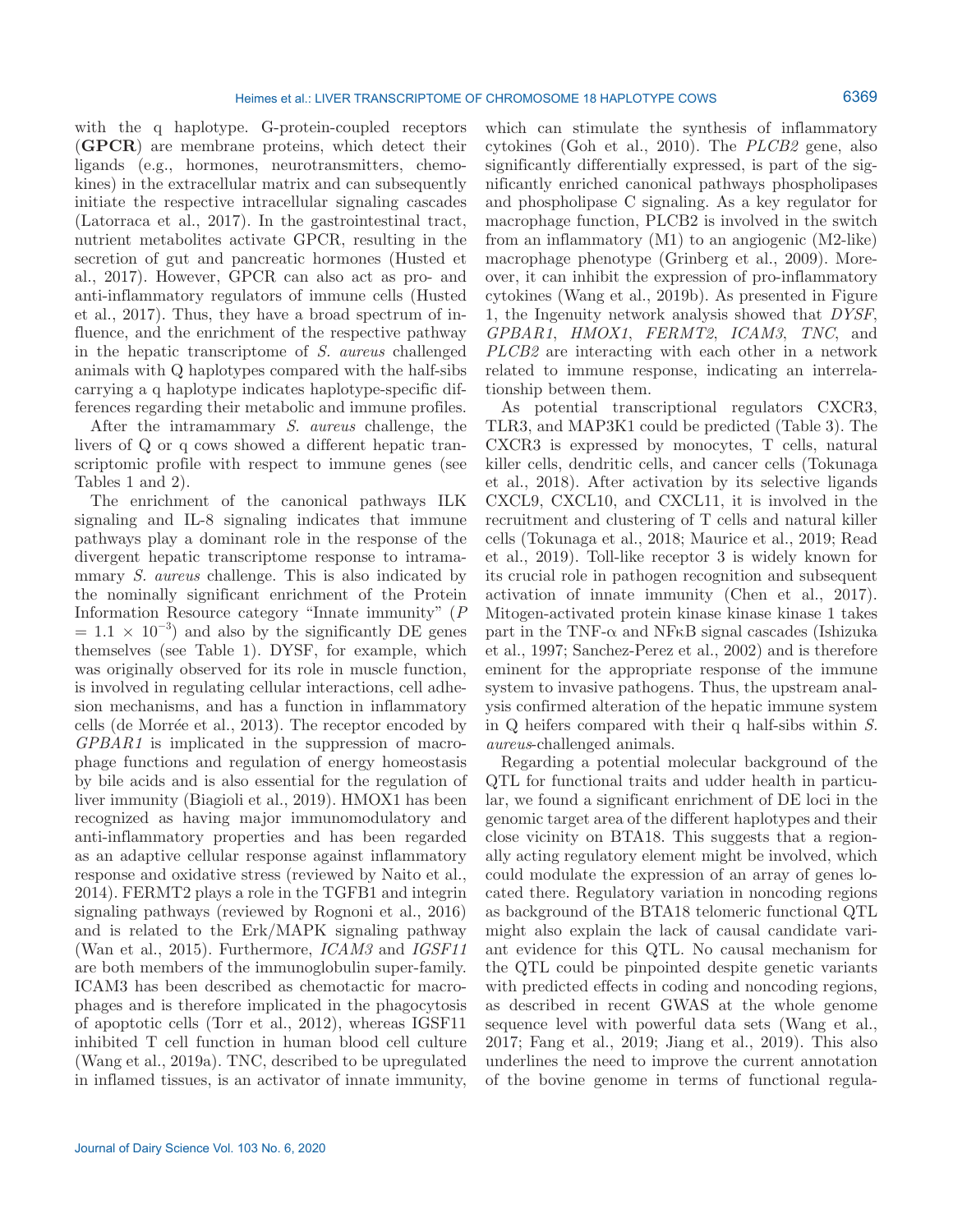with the q haplotype. G-protein-coupled receptors (**GPCR**) are membrane proteins, which detect their ligands (e.g., hormones, neurotransmitters, chemokines) in the extracellular matrix and can subsequently initiate the respective intracellular signaling cascades (Latorraca et al., 2017). In the gastrointestinal tract, nutrient metabolites activate GPCR, resulting in the secretion of gut and pancreatic hormones (Husted et al., 2017). However, GPCR can also act as pro- and anti-inflammatory regulators of immune cells (Husted et al., 2017). Thus, they have a broad spectrum of influence, and the enrichment of the respective pathway in the hepatic transcriptome of *S. aureus* challenged animals with Q haplotypes compared with the half-sibs carrying a q haplotype indicates haplotype-specific differences regarding their metabolic and immune profiles.

After the intramammary *S. aureus* challenge, the livers of Q or q cows showed a different hepatic transcriptomic profile with respect to immune genes (see Tables 1 and 2).

The enrichment of the canonical pathways ILK signaling and IL-8 signaling indicates that immune pathways play a dominant role in the response of the divergent hepatic transcriptome response to intramammary *S. aureus* challenge. This is also indicated by the nominally significant enrichment of the Protein Information Resource category "Innate immunity" (*P*  $= 1.1 \times 10^{-3}$  and also by the significantly DE genes themselves (see Table 1). DYSF, for example, which was originally observed for its role in muscle function, is involved in regulating cellular interactions, cell adhesion mechanisms, and has a function in inflammatory cells (de Morrée et al., 2013). The receptor encoded by *GPBAR1* is implicated in the suppression of macrophage functions and regulation of energy homeostasis by bile acids and is also essential for the regulation of liver immunity (Biagioli et al., 2019). HMOX1 has been recognized as having major immunomodulatory and anti-inflammatory properties and has been regarded as an adaptive cellular response against inflammatory response and oxidative stress (reviewed by Naito et al., 2014). FERMT2 plays a role in the TGFB1 and integrin signaling pathways (reviewed by Rognoni et al., 2016) and is related to the Erk/MAPK signaling pathway (Wan et al., 2015). Furthermore, *ICAM3* and *IGSF11* are both members of the immunoglobulin super-family. ICAM3 has been described as chemotactic for macrophages and is therefore implicated in the phagocytosis of apoptotic cells (Torr et al., 2012), whereas IGSF11 inhibited T cell function in human blood cell culture (Wang et al., 2019a). TNC, described to be upregulated in inflamed tissues, is an activator of innate immunity,

which can stimulate the synthesis of inflammatory cytokines (Goh et al., 2010). The *PLCB2* gene, also significantly differentially expressed, is part of the significantly enriched canonical pathways phospholipases and phospholipase C signaling. As a key regulator for macrophage function, PLCB2 is involved in the switch from an inflammatory (M1) to an angiogenic (M2-like) macrophage phenotype (Grinberg et al., 2009). Moreover, it can inhibit the expression of pro-inflammatory cytokines (Wang et al., 2019b). As presented in Figure 1, the Ingenuity network analysis showed that *DYSF*, *GPBAR1*, *HMOX1*, *FERMT2*, *ICAM3*, *TNC*, and *PLCB2* are interacting with each other in a network related to immune response, indicating an interrelationship between them.

As potential transcriptional regulators CXCR3, TLR3, and MAP3K1 could be predicted (Table 3). The CXCR3 is expressed by monocytes, T cells, natural killer cells, dendritic cells, and cancer cells (Tokunaga et al., 2018). After activation by its selective ligands CXCL9, CXCL10, and CXCL11, it is involved in the recruitment and clustering of T cells and natural killer cells (Tokunaga et al., 2018; Maurice et al., 2019; Read et al., 2019). Toll-like receptor 3 is widely known for its crucial role in pathogen recognition and subsequent activation of innate immunity (Chen et al., 2017). Mitogen-activated protein kinase kinase kinase 1 takes part in the TNF- $\alpha$  and NF<sub>K</sub>B signal cascades (Ishizuka et al., 1997; Sanchez-Perez et al., 2002) and is therefore eminent for the appropriate response of the immune system to invasive pathogens. Thus, the upstream analysis confirmed alteration of the hepatic immune system in Q heifers compared with their q half-sibs within *S. aureus*-challenged animals.

Regarding a potential molecular background of the QTL for functional traits and udder health in particular, we found a significant enrichment of DE loci in the genomic target area of the different haplotypes and their close vicinity on BTA18. This suggests that a regionally acting regulatory element might be involved, which could modulate the expression of an array of genes located there. Regulatory variation in noncoding regions as background of the BTA18 telomeric functional QTL might also explain the lack of causal candidate variant evidence for this QTL. No causal mechanism for the QTL could be pinpointed despite genetic variants with predicted effects in coding and noncoding regions, as described in recent GWAS at the whole genome sequence level with powerful data sets (Wang et al., 2017; Fang et al., 2019; Jiang et al., 2019). This also underlines the need to improve the current annotation of the bovine genome in terms of functional regula-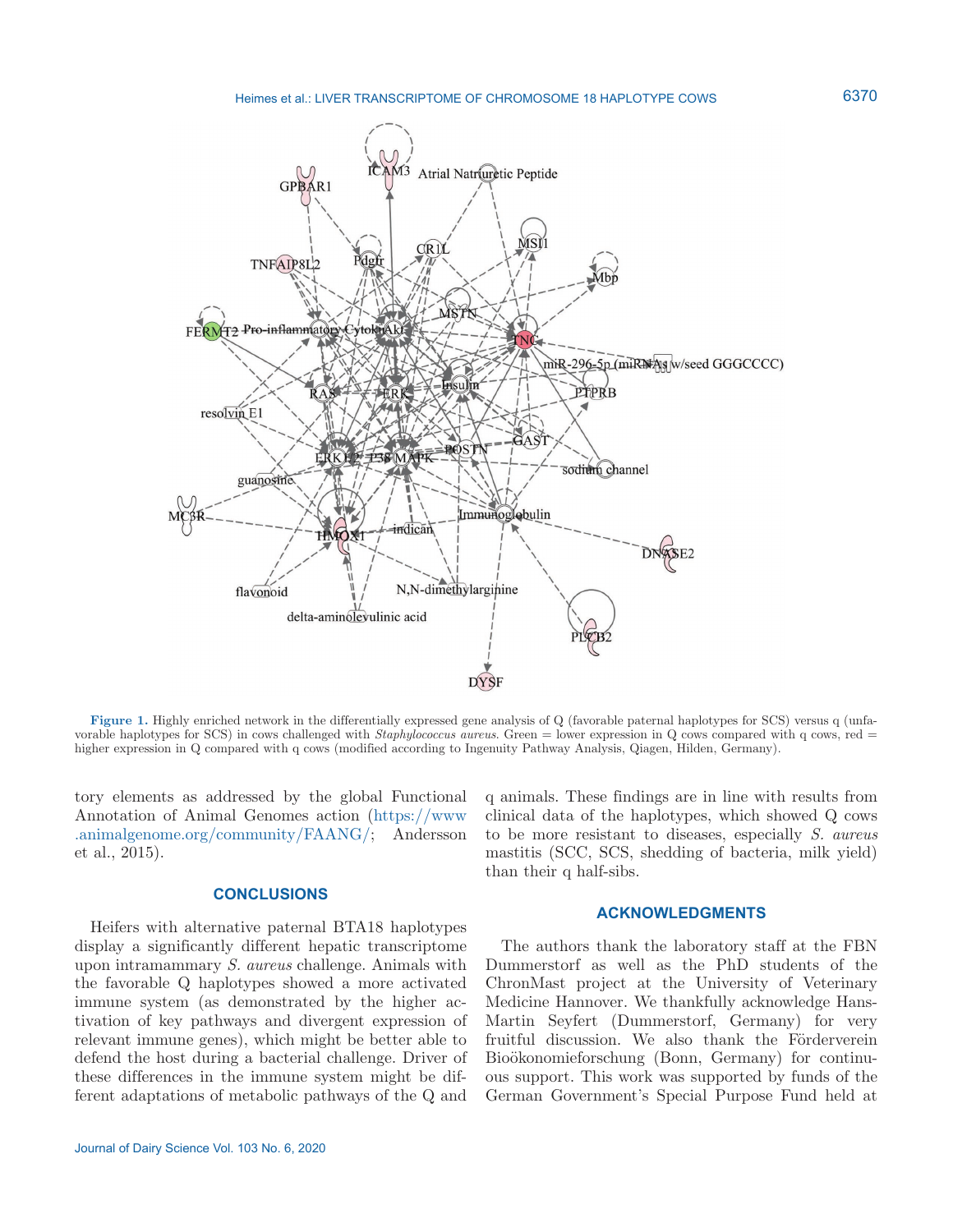

**Figure 1.** Highly enriched network in the differentially expressed gene analysis of Q (favorable paternal haplotypes for SCS) versus q (unfavorable haplotypes for SCS) in cows challenged with *Staphylococcus aureus*. Green = lower expression in Q cows compared with q cows, red = higher expression in Q compared with q cows (modified according to Ingenuity Pathway Analysis, Qiagen, Hilden, Germany).

tory elements as addressed by the global Functional Annotation of Animal Genomes action [\(https://www](https://www.animalgenome.org/community/FAANG/) [.animalgenome.org/community/FAANG/](https://www.animalgenome.org/community/FAANG/); Andersson et al., 2015).

## **CONCLUSIONS**

Heifers with alternative paternal BTA18 haplotypes display a significantly different hepatic transcriptome upon intramammary *S. aureus* challenge. Animals with the favorable Q haplotypes showed a more activated immune system (as demonstrated by the higher activation of key pathways and divergent expression of relevant immune genes), which might be better able to defend the host during a bacterial challenge. Driver of these differences in the immune system might be different adaptations of metabolic pathways of the Q and

The authors thank the laboratory staff at the FBN Dummerstorf as well as the PhD students of the ChronMast project at the University of Veterinary

than their q half-sibs.

Medicine Hannover. We thankfully acknowledge Hans-Martin Seyfert (Dummerstorf, Germany) for very fruitful discussion. We also thank the Förderverein Bioökonomieforschung (Bonn, Germany) for continuous support. This work was supported by funds of the German Government's Special Purpose Fund held at

q animals. These findings are in line with results from clinical data of the haplotypes, which showed Q cows to be more resistant to diseases, especially *S. aureus* mastitis (SCC, SCS, shedding of bacteria, milk yield)

**ACKNOWLEDGMENTS**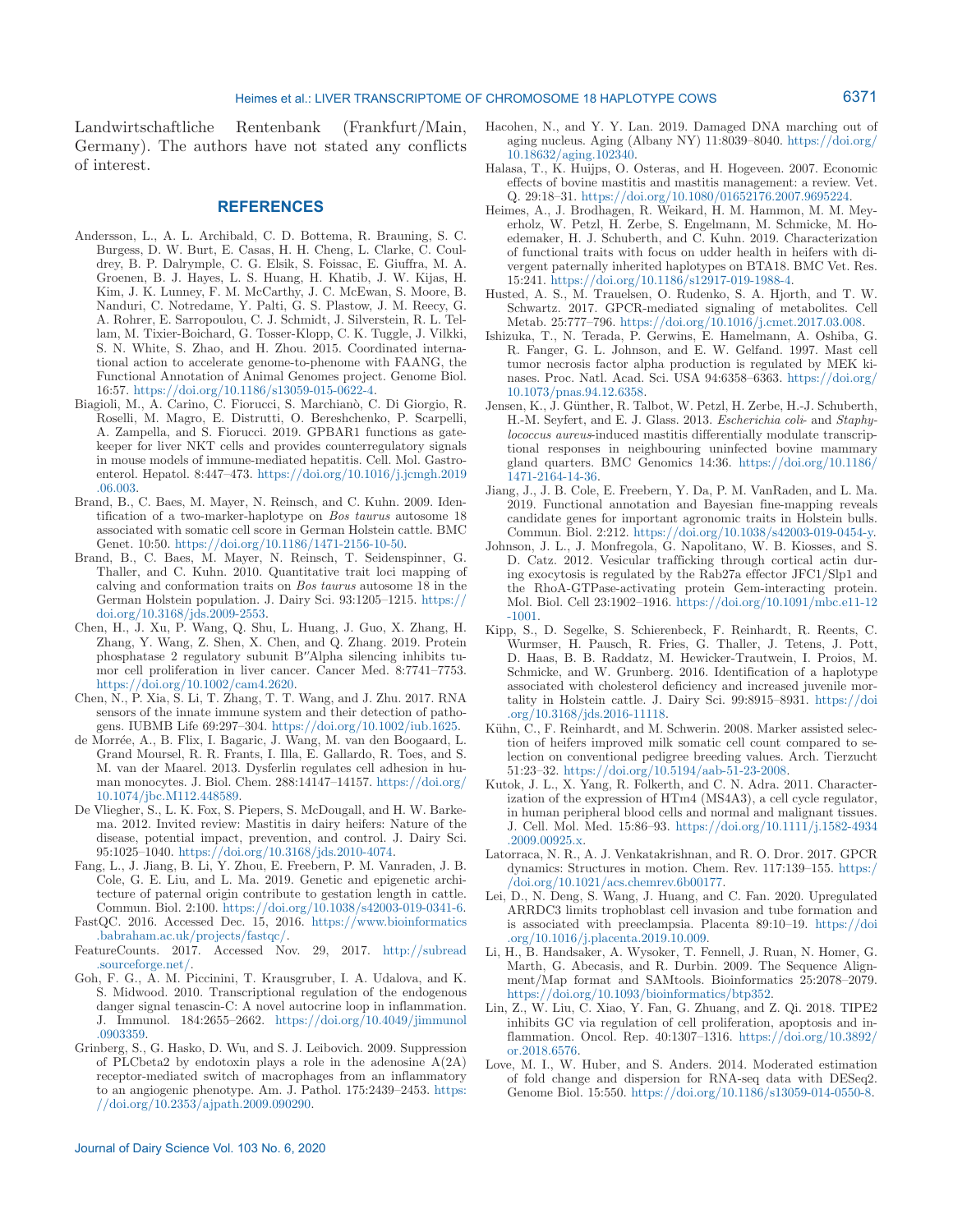Landwirtschaftliche Rentenbank (Frankfurt/Main, Germany). The authors have not stated any conflicts of interest.

## **REFERENCES**

- Andersson, L., A. L. Archibald, C. D. Bottema, R. Brauning, S. C. Burgess, D. W. Burt, E. Casas, H. H. Cheng, L. Clarke, C. Couldrey, B. P. Dalrymple, C. G. Elsik, S. Foissac, E. Giuffra, M. A. Groenen, B. J. Hayes, L. S. Huang, H. Khatib, J. W. Kijas, H. Kim, J. K. Lunney, F. M. McCarthy, J. C. McEwan, S. Moore, B. Nanduri, C. Notredame, Y. Palti, G. S. Plastow, J. M. Reecy, G. A. Rohrer, E. Sarropoulou, C. J. Schmidt, J. Silverstein, R. L. Tellam, M. Tixier-Boichard, G. Tosser-Klopp, C. K. Tuggle, J. Vilkki, S. N. White, S. Zhao, and H. Zhou. 2015. Coordinated international action to accelerate genome-to-phenome with FAANG, the Functional Annotation of Animal Genomes project. Genome Biol. 16:57. <https://doi.org/10.1186/s13059-015-0622-4>.
- Biagioli, M., A. Carino, C. Fiorucci, S. Marchianò, C. Di Giorgio, R. Roselli, M. Magro, E. Distrutti, O. Bereshchenko, P. Scarpelli, A. Zampella, and S. Fiorucci. 2019. GPBAR1 functions as gatekeeper for liver NKT cells and provides counterregulatory signals in mouse models of immune-mediated hepatitis. Cell. Mol. Gastroenterol. Hepatol. 8:447–473. [https://doi.org/10.1016/j.jcmgh.2019](https://doi.org/10.1016/j.jcmgh.2019.06.003) [.06.003](https://doi.org/10.1016/j.jcmgh.2019.06.003).
- Brand, B., C. Baes, M. Mayer, N. Reinsch, and C. Kuhn. 2009. Identification of a two-marker-haplotype on *Bos taurus* autosome 18 associated with somatic cell score in German Holstein cattle. BMC Genet. 10:50.<https://doi.org/10.1186/1471-2156-10-50>.
- Brand, B., C. Baes, M. Mayer, N. Reinsch, T. Seidenspinner, G. Thaller, and C. Kuhn. 2010. Quantitative trait loci mapping of calving and conformation traits on *Bos taurus* autosome 18 in the German Holstein population. J. Dairy Sci. 93:1205–1215. [https://](https://doi.org/10.3168/jds.2009-2553) [doi.org/10.3168/jds.2009-2553](https://doi.org/10.3168/jds.2009-2553).
- Chen, H., J. Xu, P. Wang, Q. Shu, L. Huang, J. Guo, X. Zhang, H. Zhang, Y. Wang, Z. Shen, X. Chen, and Q. Zhang. 2019. Protein phosphatase 2 regulatory subunit B′'Alpha silencing inhibits tumor cell proliferation in liver cancer. Cancer Med. 8:7741–7753. [https://doi.org/10.1002/cam4.2620.](https://doi.org/10.1002/cam4.2620)
- Chen, N., P. Xia, S. Li, T. Zhang, T. T. Wang, and J. Zhu. 2017. RNA sensors of the innate immune system and their detection of pathogens. IUBMB Life 69:297–304. <https://doi.org/10.1002/iub.1625>.
- de Morrée, A., B. Flix, I. Bagaric, J. Wang, M. van den Boogaard, L. Grand Moursel, R. R. Frants, I. Illa, E. Gallardo, R. Toes, and S. M. van der Maarel. 2013. Dysferlin regulates cell adhesion in human monocytes. J. Biol. Chem. 288:14147–14157. [https://doi.org/](https://doi.org/10.1074/jbc.M112.448589) [10.1074/jbc.M112.448589](https://doi.org/10.1074/jbc.M112.448589).
- De Vliegher, S., L. K. Fox, S. Piepers, S. McDougall, and H. W. Barkema. 2012. Invited review: Mastitis in dairy heifers: Nature of the disease, potential impact, prevention, and control. J. Dairy Sci. 95:1025–1040. <https://doi.org/10.3168/jds.2010-4074>.
- Fang, L., J. Jiang, B. Li, Y. Zhou, E. Freebern, P. M. Vanraden, J. B. Cole, G. E. Liu, and L. Ma. 2019. Genetic and epigenetic architecture of paternal origin contribute to gestation length in cattle. Commun. Biol. 2:100.<https://doi.org/10.1038/s42003-019-0341-6>.
- FastQC. 2016. Accessed Dec. 15, 2016. [https://www.bioinformatics](https://www.bioinformatics.babraham.ac.uk/projects/fastqc/) [.babraham.ac.uk/projects/fastqc/](https://www.bioinformatics.babraham.ac.uk/projects/fastqc/).
- FeatureCounts. 2017. Accessed Nov. 29, 2017. [http://subread](http://subread.sourceforge.net/) [.sourceforge.net/](http://subread.sourceforge.net/).
- Goh, F. G., A. M. Piccinini, T. Krausgruber, I. A. Udalova, and K. S. Midwood. 2010. Transcriptional regulation of the endogenous danger signal tenascin-C: A novel autocrine loop in inflammation. J. Immunol. 184:2655–2662. [https://doi.org/10.4049/jimmunol](https://doi.org/10.4049/jimmunol.0903359) [.0903359](https://doi.org/10.4049/jimmunol.0903359).
- Grinberg, S., G. Hasko, D. Wu, and S. J. Leibovich. 2009. Suppression of PLCbeta2 by endotoxin plays a role in the adenosine  $A(2A)$ receptor-mediated switch of macrophages from an inflammatory to an angiogenic phenotype. Am. J. Pathol. 175:2439–2453. [https:](https://doi.org/10.2353/ajpath.2009.090290) [//doi.org/10.2353/ajpath.2009.090290.](https://doi.org/10.2353/ajpath.2009.090290)
- Hacohen, N., and Y. Y. Lan. 2019. Damaged DNA marching out of aging nucleus. Aging (Albany NY) 11:8039–8040. [https://doi.org/](https://doi.org/10.18632/aging.102340) [10.18632/aging.102340.](https://doi.org/10.18632/aging.102340)
- Halasa, T., K. Huijps, O. Osteras, and H. Hogeveen. 2007. Economic effects of bovine mastitis and mastitis management: a review. Vet. Q. 29:18–31. [https://doi.org/10.1080/01652176.2007.9695224.](https://doi.org/10.1080/01652176.2007.9695224)
- Heimes, A., J. Brodhagen, R. Weikard, H. M. Hammon, M. M. Meyerholz, W. Petzl, H. Zerbe, S. Engelmann, M. Schmicke, M. Hoedemaker, H. J. Schuberth, and C. Kuhn. 2019. Characterization of functional traits with focus on udder health in heifers with divergent paternally inherited haplotypes on BTA18. BMC Vet. Res. 15:241. <https://doi.org/10.1186/s12917-019-1988-4>.
- Husted, A. S., M. Trauelsen, O. Rudenko, S. A. Hjorth, and T. W. Schwartz. 2017. GPCR-mediated signaling of metabolites. Cell Metab. 25:777–796. <https://doi.org/10.1016/j.cmet.2017.03.008>.
- Ishizuka, T., N. Terada, P. Gerwins, E. Hamelmann, A. Oshiba, G. R. Fanger, G. L. Johnson, and E. W. Gelfand. 1997. Mast cell tumor necrosis factor alpha production is regulated by MEK kinases. Proc. Natl. Acad. Sci. USA 94:6358–6363. [https://doi.org/](https://doi.org/10.1073/pnas.94.12.6358) [10.1073/pnas.94.12.6358.](https://doi.org/10.1073/pnas.94.12.6358)
- Jensen, K., J. Günther, R. Talbot, W. Petzl, H. Zerbe, H.-J. Schuberth, H.-M. Seyfert, and E. J. Glass. 2013. *Escherichia coli*- and *Staphylococcus aureus*-induced mastitis differentially modulate transcriptional responses in neighbouring uninfected bovine mammary gland quarters. BMC Genomics 14:36. [https://doi.org/10.1186/](https://doi.org/10.1186/1471-2164-14-36) [1471-2164-14-36.](https://doi.org/10.1186/1471-2164-14-36)
- Jiang, J., J. B. Cole, E. Freebern, Y. Da, P. M. VanRaden, and L. Ma. 2019. Functional annotation and Bayesian fine-mapping reveals candidate genes for important agronomic traits in Holstein bulls. Commun. Biol. 2:212.<https://doi.org/10.1038/s42003-019-0454-y>.
- Johnson, J. L., J. Monfregola, G. Napolitano, W. B. Kiosses, and S. D. Catz. 2012. Vesicular trafficking through cortical actin during exocytosis is regulated by the Rab27a effector JFC1/Slp1 and the RhoA-GTPase-activating protein Gem-interacting protein. Mol. Biol. Cell 23:1902–1916. [https://doi.org/10.1091/mbc.e11-12](https://doi.org/10.1091/mbc.e11-12-1001) [-1001](https://doi.org/10.1091/mbc.e11-12-1001).
- Kipp, S., D. Segelke, S. Schierenbeck, F. Reinhardt, R. Reents, C. Wurmser, H. Pausch, R. Fries, G. Thaller, J. Tetens, J. Pott, D. Haas, B. B. Raddatz, M. Hewicker-Trautwein, I. Proios, M. Schmicke, and W. Grunberg. 2016. Identification of a haplotype associated with cholesterol deficiency and increased juvenile mortality in Holstein cattle. J. Dairy Sci. 99:8915–8931. [https://doi](https://doi.org/10.3168/jds.2016-11118) [.org/10.3168/jds.2016-11118.](https://doi.org/10.3168/jds.2016-11118)
- Kühn, C., F. Reinhardt, and M. Schwerin. 2008. Marker assisted selection of heifers improved milk somatic cell count compared to selection on conventional pedigree breeding values. Arch. Tierzucht 51:23–32.<https://doi.org/10.5194/aab-51-23-2008>.
- Kutok, J. L., X. Yang, R. Folkerth, and C. N. Adra. 2011. Characterization of the expression of HTm4 (MS4A3), a cell cycle regulator, in human peripheral blood cells and normal and malignant tissues. J. Cell. Mol. Med. 15:86–93. [https://doi.org/10.1111/j.1582-4934](https://doi.org/10.1111/j.1582-4934.2009.00925.x) [.2009.00925.x](https://doi.org/10.1111/j.1582-4934.2009.00925.x).
- Latorraca, N. R., A. J. Venkatakrishnan, and R. O. Dror. 2017. GPCR dynamics: Structures in motion. Chem. Rev. 117:139–155. [https:/](https://doi.org/10.1021/acs.chemrev.6b00177) [/doi.org/10.1021/acs.chemrev.6b00177](https://doi.org/10.1021/acs.chemrev.6b00177).
- Lei, D., N. Deng, S. Wang, J. Huang, and C. Fan. 2020. Upregulated ARRDC3 limits trophoblast cell invasion and tube formation and is associated with preeclampsia. Placenta 89:10–19. [https://doi](https://doi.org/10.1016/j.placenta.2019.10.009) [.org/10.1016/j.placenta.2019.10.009.](https://doi.org/10.1016/j.placenta.2019.10.009)
- Li, H., B. Handsaker, A. Wysoker, T. Fennell, J. Ruan, N. Homer, G. Marth, G. Abecasis, and R. Durbin. 2009. The Sequence Alignment/Map format and SAMtools. Bioinformatics 25:2078–2079. <https://doi.org/10.1093/bioinformatics/btp352>.
- Lin, Z., W. Liu, C. Xiao, Y. Fan, G. Zhuang, and Z. Qi. 2018. TIPE2 inhibits GC via regulation of cell proliferation, apoptosis and inflammation. Oncol. Rep. 40:1307–1316. [https://doi.org/10.3892/](https://doi.org/10.3892/or.2018.6576) [or.2018.6576.](https://doi.org/10.3892/or.2018.6576)
- Love, M. I., W. Huber, and S. Anders. 2014. Moderated estimation of fold change and dispersion for RNA-seq data with DESeq2. Genome Biol. 15:550. [https://doi.org/10.1186/s13059-014-0550-8.](https://doi.org/10.1186/s13059-014-0550-8)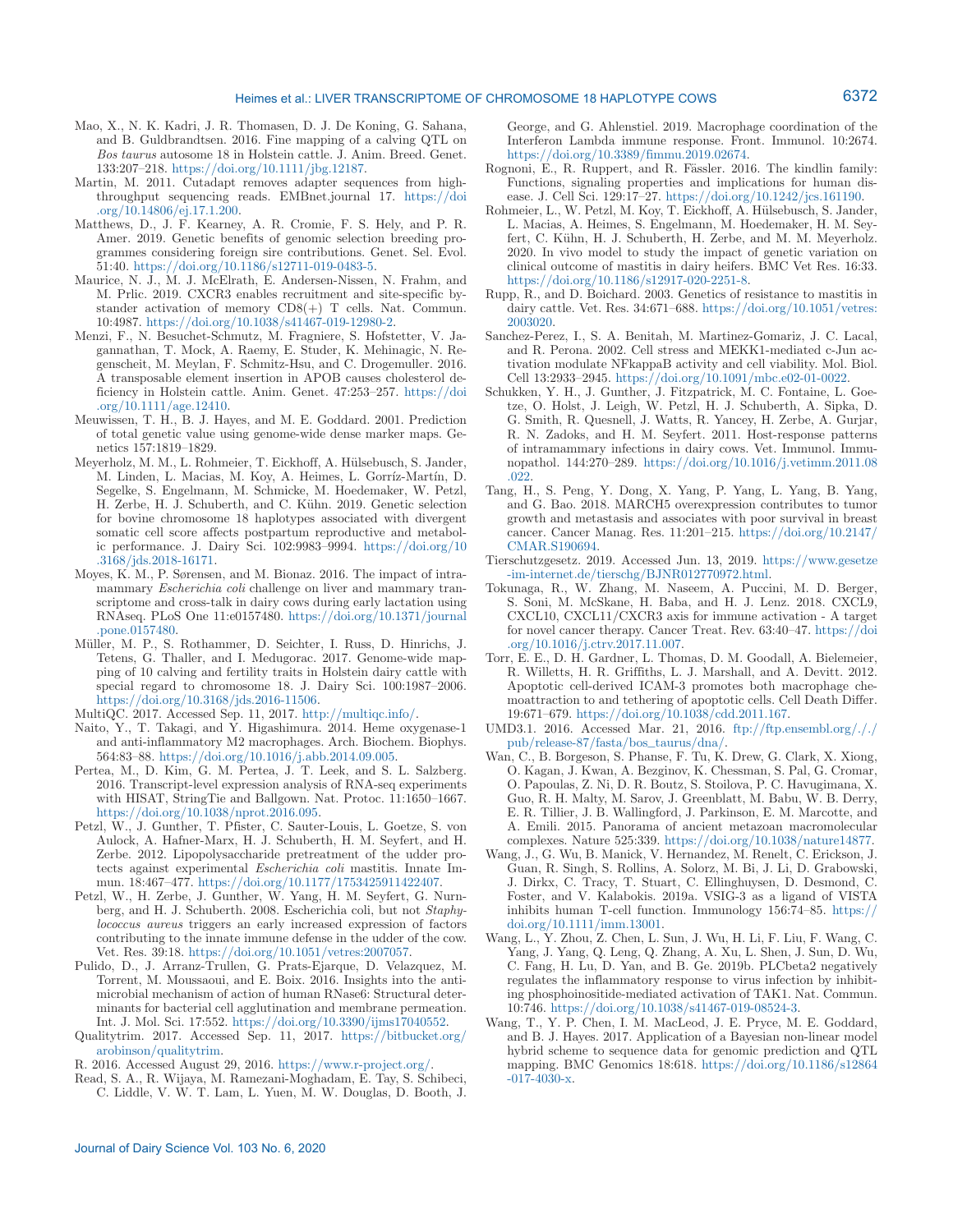- Mao, X., N. K. Kadri, J. R. Thomasen, D. J. De Koning, G. Sahana, and B. Guldbrandtsen. 2016. Fine mapping of a calving QTL on *Bos taurus* autosome 18 in Holstein cattle. J. Anim. Breed. Genet. 133:207–218. [https://doi.org/10.1111/jbg.12187.](https://doi.org/10.1111/jbg.12187)
- Martin, M. 2011. Cutadapt removes adapter sequences from highthroughput sequencing reads. EMBnet.journal 17. [https://doi](https://doi.org/10.14806/ej.17.1.200) [.org/10.14806/ej.17.1.200.](https://doi.org/10.14806/ej.17.1.200)
- Matthews, D., J. F. Kearney, A. R. Cromie, F. S. Hely, and P. R. Amer. 2019. Genetic benefits of genomic selection breeding programmes considering foreign sire contributions. Genet. Sel. Evol. 51:40. <https://doi.org/10.1186/s12711-019-0483-5>.
- Maurice, N. J., M. J. McElrath, E. Andersen-Nissen, N. Frahm, and M. Prlic. 2019. CXCR3 enables recruitment and site-specific bystander activation of memory CD8(+) T cells. Nat. Commun. 10:4987.<https://doi.org/10.1038/s41467-019-12980-2>.
- Menzi, F., N. Besuchet-Schmutz, M. Fragniere, S. Hofstetter, V. Jagannathan, T. Mock, A. Raemy, E. Studer, K. Mehinagic, N. Regenscheit, M. Meylan, F. Schmitz-Hsu, and C. Drogemuller. 2016. A transposable element insertion in APOB causes cholesterol deficiency in Holstein cattle. Anim. Genet. 47:253–257. [https://doi](https://doi.org/10.1111/age.12410) [.org/10.1111/age.12410.](https://doi.org/10.1111/age.12410)

Meuwissen, T. H., B. J. Hayes, and M. E. Goddard. 2001. Prediction of total genetic value using genome-wide dense marker maps. Genetics 157:1819–1829.

- Meyerholz, M. M., L. Rohmeier, T. Eickhoff, A. Hülsebusch, S. Jander, M. Linden, L. Macias, M. Koy, A. Heimes, L. Gorríz-Martín, D. Segelke, S. Engelmann, M. Schmicke, M. Hoedemaker, W. Petzl, H. Zerbe, H. J. Schuberth, and C. Kühn. 2019. Genetic selection for bovine chromosome 18 haplotypes associated with divergent somatic cell score affects postpartum reproductive and metabolic performance. J. Dairy Sci. 102:9983–9994. [https://doi.org/10](https://doi.org/10.3168/jds.2018-16171) [.3168/jds.2018-16171](https://doi.org/10.3168/jds.2018-16171).
- Moyes, K. M., P. Sørensen, and M. Bionaz. 2016. The impact of intramammary *Escherichia coli* challenge on liver and mammary transcriptome and cross-talk in dairy cows during early lactation using RNAseq. PLoS One 11:e0157480. [https://doi.org/10.1371/journal](https://doi.org/10.1371/journal.pone.0157480) [.pone.0157480.](https://doi.org/10.1371/journal.pone.0157480)
- Müller, M. P., S. Rothammer, D. Seichter, I. Russ, D. Hinrichs, J. Tetens, G. Thaller, and I. Medugorac. 2017. Genome-wide mapping of 10 calving and fertility traits in Holstein dairy cattle with special regard to chromosome 18. J. Dairy Sci. 100:1987–2006. [https://doi.org/10.3168/jds.2016-11506.](https://doi.org/10.3168/jds.2016-11506)

MultiQC. 2017. Accessed Sep. 11, 2017.<http://multiqc.info/>.

- Naito, Y., T. Takagi, and Y. Higashimura. 2014. Heme oxygenase-1 and anti-inflammatory M2 macrophages. Arch. Biochem. Biophys. 564:83–88. [https://doi.org/10.1016/j.abb.2014.09.005.](https://doi.org/10.1016/j.abb.2014.09.005)
- Pertea, M., D. Kim, G. M. Pertea, J. T. Leek, and S. L. Salzberg. 2016. Transcript-level expression analysis of RNA-seq experiments with HISAT, StringTie and Ballgown. Nat. Protoc. 11:1650–1667. <https://doi.org/10.1038/nprot.2016.095>.
- Petzl, W., J. Gunther, T. Pfister, C. Sauter-Louis, L. Goetze, S. von Aulock, A. Hafner-Marx, H. J. Schuberth, H. M. Seyfert, and H. Zerbe. 2012. Lipopolysaccharide pretreatment of the udder protects against experimental *Escherichia coli* mastitis. Innate Immun. 18:467–477.<https://doi.org/10.1177/1753425911422407>.
- Petzl, W., H. Zerbe, J. Gunther, W. Yang, H. M. Seyfert, G. Nurnberg, and H. J. Schuberth. 2008. Escherichia coli, but not *Staphylococcus aureus* triggers an early increased expression of factors contributing to the innate immune defense in the udder of the cow. Vet. Res. 39:18. [https://doi.org/10.1051/vetres:2007057.](https://doi.org/10.1051/vetres:2007057)
- Pulido, D., J. Arranz-Trullen, G. Prats-Ejarque, D. Velazquez, M. Torrent, M. Moussaoui, and E. Boix. 2016. Insights into the antimicrobial mechanism of action of human RNase6: Structural determinants for bacterial cell agglutination and membrane permeation. Int. J. Mol. Sci. 17:552.<https://doi.org/10.3390/ijms17040552>.
- Qualitytrim. 2017. Accessed Sep. 11, 2017. [https://bitbucket.org/](https://bitbucket.org/arobinson/qualitytrim) [arobinson/qualitytrim.](https://bitbucket.org/arobinson/qualitytrim)

R. 2016. Accessed August 29, 2016. [https://www.r-project.org/.](https://www.r-project.org/)

Read, S. A., R. Wijaya, M. Ramezani-Moghadam, E. Tay, S. Schibeci, C. Liddle, V. W. T. Lam, L. Yuen, M. W. Douglas, D. Booth, J.

George, and G. Ahlenstiel. 2019. Macrophage coordination of the Interferon Lambda immune response. Front. Immunol. 10:2674. [https://doi.org/10.3389/fimmu.2019.02674.](https://doi.org/10.3389/fimmu.2019.02674)

- Rognoni, E., R. Ruppert, and R. Fässler. 2016. The kindlin family: Functions, signaling properties and implications for human disease. J. Cell Sci. 129:17–27. [https://doi.org/10.1242/jcs.161190.](https://doi.org/10.1242/jcs.161190)
- Rohmeier, L., W. Petzl, M. Koy, T. Eickhoff, A. Hülsebusch, S. Jander, L. Macias, A. Heimes, S. Engelmann, M. Hoedemaker, H. M. Seyfert, C. Kühn, H. J. Schuberth, H. Zerbe, and M. M. Meyerholz. 2020. In vivo model to study the impact of genetic variation on clinical outcome of mastitis in dairy heifers. BMC Vet Res. 16:33.  $\text{https://doi.org/10.1186/s12917-020-2251-8}.$  $\text{https://doi.org/10.1186/s12917-020-2251-8}.$  $\text{https://doi.org/10.1186/s12917-020-2251-8}.$
- Rupp, R., and D. Boichard. 2003. Genetics of resistance to mastitis in dairy cattle. Vet. Res. 34:671–688. [https://doi.org/10.1051/vetres:](https://doi.org/10.1051/vetres:2003020) [2003020.](https://doi.org/10.1051/vetres:2003020)
- Sanchez-Perez, I., S. A. Benitah, M. Martinez-Gomariz, J. C. Lacal, and R. Perona. 2002. Cell stress and MEKK1-mediated c-Jun activation modulate NFkappaB activity and cell viability. Mol. Biol. Cell 13:2933–2945. <https://doi.org/10.1091/mbc.e02-01-0022>.
- Schukken, Y. H., J. Gunther, J. Fitzpatrick, M. C. Fontaine, L. Goetze, O. Holst, J. Leigh, W. Petzl, H. J. Schuberth, A. Sipka, D. G. Smith, R. Quesnell, J. Watts, R. Yancey, H. Zerbe, A. Gurjar, R. N. Zadoks, and H. M. Seyfert. 2011. Host-response patterns of intramammary infections in dairy cows. Vet. Immunol. Immunopathol. 144:270–289. [https://doi.org/10.1016/j.vetimm.2011.08](https://doi.org/10.1016/j.vetimm.2011.08.022) [.022.](https://doi.org/10.1016/j.vetimm.2011.08.022)
- Tang, H., S. Peng, Y. Dong, X. Yang, P. Yang, L. Yang, B. Yang, and G. Bao. 2018. MARCH5 overexpression contributes to tumor growth and metastasis and associates with poor survival in breast cancer. Cancer Manag. Res. 11:201–215. [https://doi.org/10.2147/](https://doi.org/10.2147/CMAR.S190694) [CMAR.S190694](https://doi.org/10.2147/CMAR.S190694).
- Tierschutzgesetz. 2019. Accessed Jun. 13, 2019. [https://www.gesetze](https://www.gesetze-im-internet.de/tierschg/BJNR012770972.html) [-im-internet.de/tierschg/BJNR012770972.html.](https://www.gesetze-im-internet.de/tierschg/BJNR012770972.html)
- Tokunaga, R., W. Zhang, M. Naseem, A. Puccini, M. D. Berger, S. Soni, M. McSkane, H. Baba, and H. J. Lenz. 2018. CXCL9, CXCL10, CXCL11/CXCR3 axis for immune activation - A target for novel cancer therapy. Cancer Treat. Rev. 63:40–47. [https://doi](https://doi.org/10.1016/j.ctrv.2017.11.007) [.org/10.1016/j.ctrv.2017.11.007.](https://doi.org/10.1016/j.ctrv.2017.11.007)
- Torr, E. E., D. H. Gardner, L. Thomas, D. M. Goodall, A. Bielemeier, R. Willetts, H. R. Griffiths, L. J. Marshall, and A. Devitt. 2012. Apoptotic cell-derived ICAM-3 promotes both macrophage chemoattraction to and tethering of apoptotic cells. Cell Death Differ. 19:671–679. [https://doi.org/10.1038/cdd.2011.167.](https://doi.org/10.1038/cdd.2011.167)
- UMD3.1. 2016. Accessed Mar. 21, 2016. [ftp://ftp.ensembl.org/././](ftp://ftp.ensembl.org/././pub/release-87/fasta/bos_taurus/dna/) [pub/release-87/fasta/bos\\_taurus/dna/.](ftp://ftp.ensembl.org/././pub/release-87/fasta/bos_taurus/dna/)
- Wan, C., B. Borgeson, S. Phanse, F. Tu, K. Drew, G. Clark, X. Xiong, O. Kagan, J. Kwan, A. Bezginov, K. Chessman, S. Pal, G. Cromar, O. Papoulas, Z. Ni, D. R. Boutz, S. Stoilova, P. C. Havugimana, X. Guo, R. H. Malty, M. Sarov, J. Greenblatt, M. Babu, W. B. Derry, E. R. Tillier, J. B. Wallingford, J. Parkinson, E. M. Marcotte, and A. Emili. 2015. Panorama of ancient metazoan macromolecular complexes. Nature 525:339.<https://doi.org/10.1038/nature14877>.
- Wang, J., G. Wu, B. Manick, V. Hernandez, M. Renelt, C. Erickson, J. Guan, R. Singh, S. Rollins, A. Solorz, M. Bi, J. Li, D. Grabowski, J. Dirkx, C. Tracy, T. Stuart, C. Ellinghuysen, D. Desmond, C. Foster, and V. Kalabokis. 2019a. VSIG-3 as a ligand of VISTA inhibits human T-cell function. Immunology 156:74–85. [https://](https://doi.org/10.1111/imm.13001) [doi.org/10.1111/imm.13001](https://doi.org/10.1111/imm.13001).
- Wang, L., Y. Zhou, Z. Chen, L. Sun, J. Wu, H. Li, F. Liu, F. Wang, C. Yang, J. Yang, Q. Leng, Q. Zhang, A. Xu, L. Shen, J. Sun, D. Wu, C. Fang, H. Lu, D. Yan, and B. Ge. 2019b. PLCbeta2 negatively regulates the inflammatory response to virus infection by inhibiting phosphoinositide-mediated activation of TAK1. Nat. Commun. 10:746. <https://doi.org/10.1038/s41467-019-08524-3>.
- Wang, T., Y. P. Chen, I. M. MacLeod, J. E. Pryce, M. E. Goddard, and B. J. Hayes. 2017. Application of a Bayesian non-linear model hybrid scheme to sequence data for genomic prediction and QTL mapping. BMC Genomics 18:618. [https://doi.org/10.1186/s12864](https://doi.org/10.1186/s12864-017-4030-x) [-017-4030-x](https://doi.org/10.1186/s12864-017-4030-x).